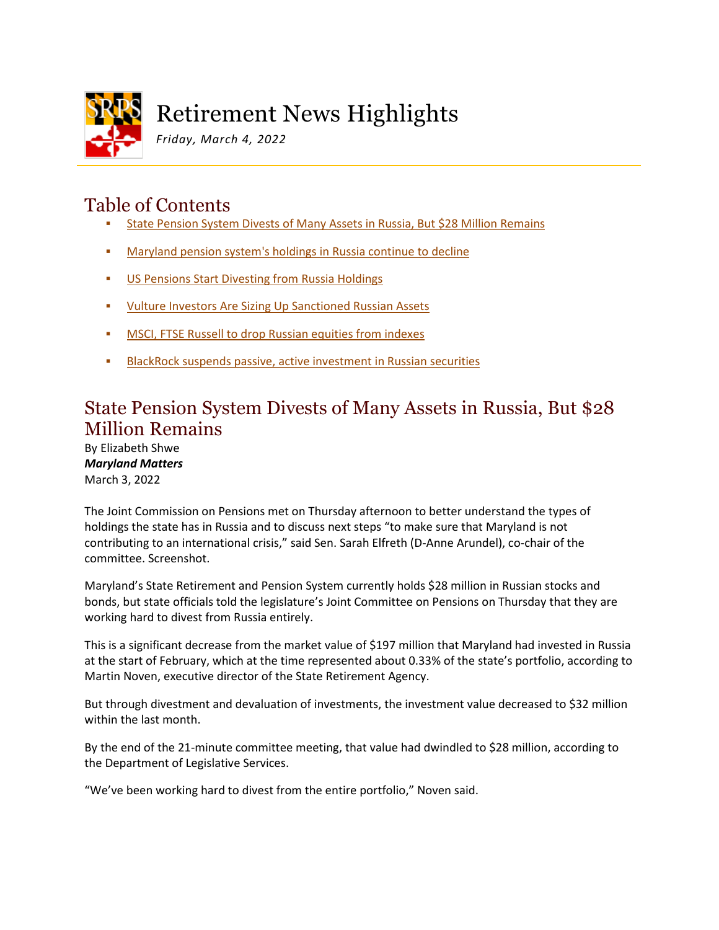

# Retirement News Highlights

*Friday, March 4, 2022*

### Table of Contents

- [State Pension System Divests of Many Assets in Russia, But \\$28 Million Remains](#page-0-0)
- [Maryland pension system's holdings in Russia continue to decline](#page-2-0)
- **[US Pensions Start Divesting from Russia Holdings](#page-0-0)**
- [Vulture Investors Are Sizing Up Sanctioned Russian Assets](#page-5-0)
- **[MSCI, FTSE Russell to drop Russian equities from indexes](#page-0-0)**
- **[BlackRock suspends passive, active investment in Russian securities](#page-7-0)**

#### <span id="page-0-0"></span>State Pension System Divests of Many Assets in Russia, But \$28 Million Remains

By Elizabeth Shwe *Maryland Matters* March 3, 2022

The Joint Commission on Pensions met on Thursday afternoon to better understand the types of holdings the state has in Russia and to discuss next steps "to make sure that Maryland is not contributing to an international crisis," said Sen. Sarah Elfreth (D-Anne Arundel), co-chair of the committee. Screenshot.

Maryland's State Retirement and Pension System currently holds \$28 million in Russian stocks and bonds, but state officials told the legislature's Joint Committee on Pensions on Thursday that they are working hard to divest from Russia entirely.

This is a significant decrease from the market value of \$197 million that Maryland had invested in Russia at the start of February, which at the time represented about 0.33% of the state's portfolio, according to Martin Noven, executive director of the State Retirement Agency.

But through divestment and devaluation of investments, the investment value decreased to \$32 million within the last month.

By the end of the 21-minute committee meeting, that value had dwindled to \$28 million, according to the Department of Legislative Services.

"We've been working hard to divest from the entire portfolio," Noven said.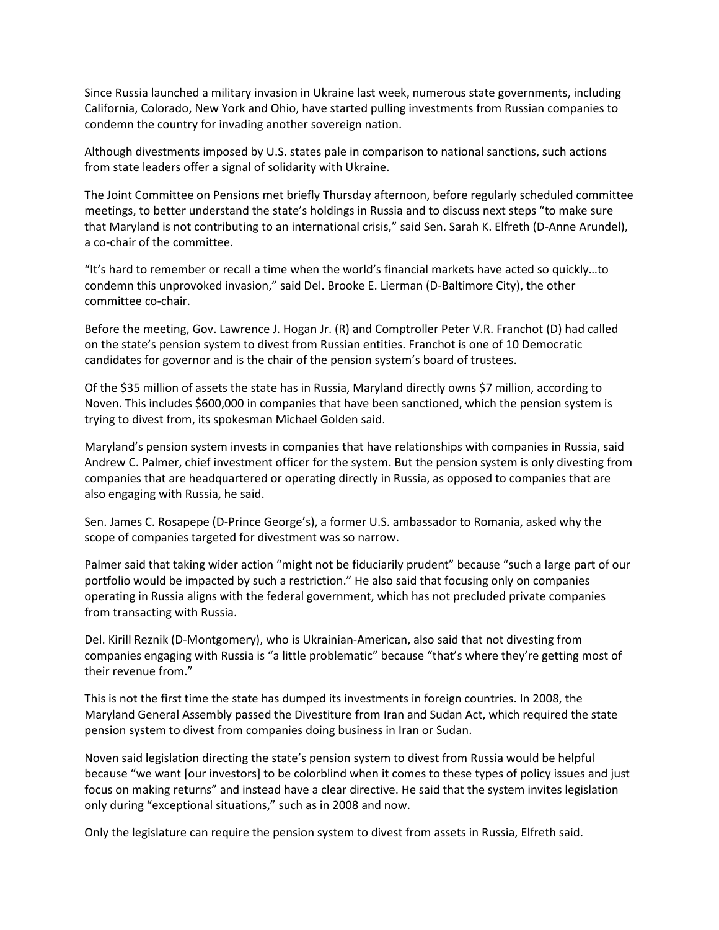Since Russia launched a military invasion in Ukraine last week, numerous state governments, including California, Colorado, New York and Ohio, have started pulling investments from Russian companies to condemn the country for invading another sovereign nation.

Although divestments imposed by U.S. states pale in comparison to national sanctions, such actions from state leaders offer a signal of solidarity with Ukraine.

The Joint Committee on Pensions met briefly Thursday afternoon, before regularly scheduled committee meetings, to better understand the state's holdings in Russia and to discuss next steps "to make sure that Maryland is not contributing to an international crisis," said Sen. Sarah K. Elfreth (D-Anne Arundel), a co-chair of the committee.

"It's hard to remember or recall a time when the world's financial markets have acted so quickly…to condemn this unprovoked invasion," said Del. Brooke E. Lierman (D-Baltimore City), the other committee co-chair.

Before the meeting, Gov. Lawrence J. Hogan Jr. (R) and Comptroller Peter V.R. Franchot (D) had called on the state's pension system to divest from Russian entities. Franchot is one of 10 Democratic candidates for governor and is the chair of the pension system's board of trustees.

Of the \$35 million of assets the state has in Russia, Maryland directly owns \$7 million, according to Noven. This includes \$600,000 in companies that have been sanctioned, which the pension system is trying to divest from, its spokesman Michael Golden said.

Maryland's pension system invests in companies that have relationships with companies in Russia, said Andrew C. Palmer, chief investment officer for the system. But the pension system is only divesting from companies that are headquartered or operating directly in Russia, as opposed to companies that are also engaging with Russia, he said.

Sen. James C. Rosapepe (D-Prince George's), a former U.S. ambassador to Romania, asked why the scope of companies targeted for divestment was so narrow.

Palmer said that taking wider action "might not be fiduciarily prudent" because "such a large part of our portfolio would be impacted by such a restriction." He also said that focusing only on companies operating in Russia aligns with the federal government, which has not precluded private companies from transacting with Russia.

Del. Kirill Reznik (D-Montgomery), who is Ukrainian-American, also said that not divesting from companies engaging with Russia is "a little problematic" because "that's where they're getting most of their revenue from."

This is not the first time the state has dumped its investments in foreign countries. In 2008, the Maryland General Assembly passed the Divestiture from Iran and Sudan Act, which required the state pension system to divest from companies doing business in Iran or Sudan.

Noven said legislation directing the state's pension system to divest from Russia would be helpful because "we want [our investors] to be colorblind when it comes to these types of policy issues and just focus on making returns" and instead have a clear directive. He said that the system invites legislation only during "exceptional situations," such as in 2008 and now.

Only the legislature can require the pension system to divest from assets in Russia, Elfreth said.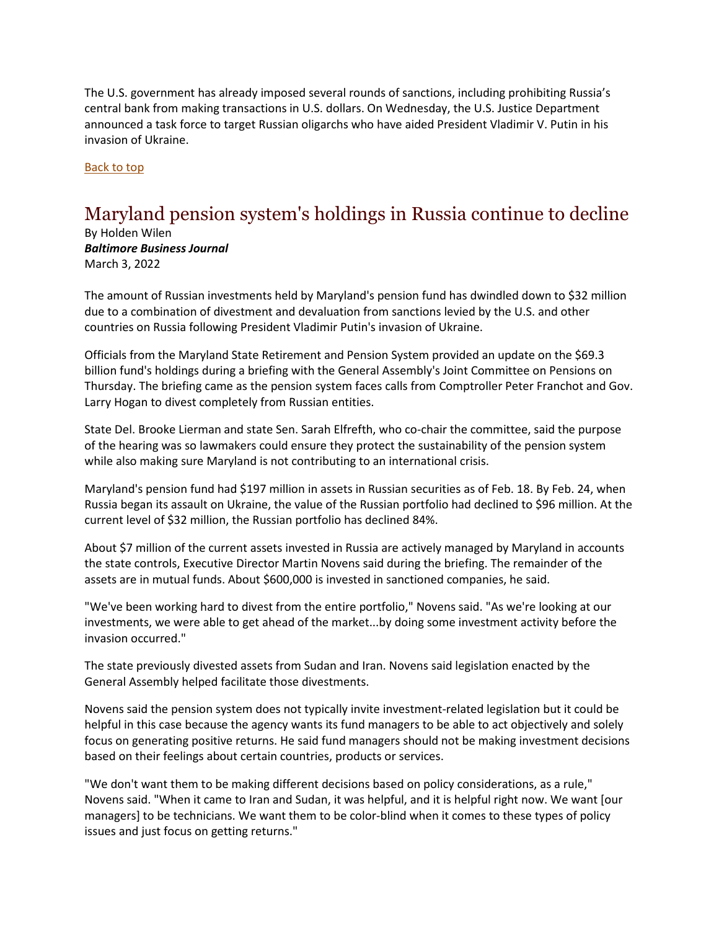The U.S. government has already imposed several rounds of sanctions, including prohibiting Russia's central bank from making transactions in U.S. dollars. On Wednesday, the U.S. Justice Department announced a task force to target Russian oligarchs who have aided President Vladimir V. Putin in his invasion of Ukraine.

Back to top

## <span id="page-2-0"></span>Maryland pension system's holdings in Russia continue to decline

By Holden Wilen *Baltimore Business Journal* March 3, 2022

The amount of Russian investments held by Maryland's pension fund has dwindled down to \$32 million due to a combination of divestment and devaluation from sanctions levied by the U.S. and other countries on Russia following President Vladimir Putin's invasion of Ukraine.

Officials from the Maryland State Retirement and Pension System provided an update on the \$69.3 billion fund's holdings during a briefing with the General Assembly's Joint Committee on Pensions on Thursday. The briefing came as the pension system faces calls from Comptroller Peter Franchot and Gov. Larry Hogan to divest completely from Russian entities.

State Del. Brooke Lierman and state Sen. Sarah Elfrefth, who co-chair the committee, said the purpose of the hearing was so lawmakers could ensure they protect the sustainability of the pension system while also making sure Maryland is not contributing to an international crisis.

Maryland's pension fund had \$197 million in assets in Russian securities as of Feb. 18. By Feb. 24, when Russia began its assault on Ukraine, the value of the Russian portfolio had declined to \$96 million. At the current level of \$32 million, the Russian portfolio has declined 84%.

About \$7 million of the current assets invested in Russia are actively managed by Maryland in accounts the state controls, Executive Director Martin Novens said during the briefing. The remainder of the assets are in mutual funds. About \$600,000 is invested in sanctioned companies, he said.

"We've been working hard to divest from the entire portfolio," Novens said. "As we're looking at our investments, we were able to get ahead of the market...by doing some investment activity before the invasion occurred."

The state previously divested assets from Sudan and Iran. Novens said legislation enacted by the General Assembly helped facilitate those divestments.

Novens said the pension system does not typically invite investment-related legislation but it could be helpful in this case because the agency wants its fund managers to be able to act objectively and solely focus on generating positive returns. He said fund managers should not be making investment decisions based on their feelings about certain countries, products or services.

"We don't want them to be making different decisions based on policy considerations, as a rule," Novens said. "When it came to Iran and Sudan, it was helpful, and it is helpful right now. We want [our managers] to be technicians. We want them to be color-blind when it comes to these types of policy issues and just focus on getting returns."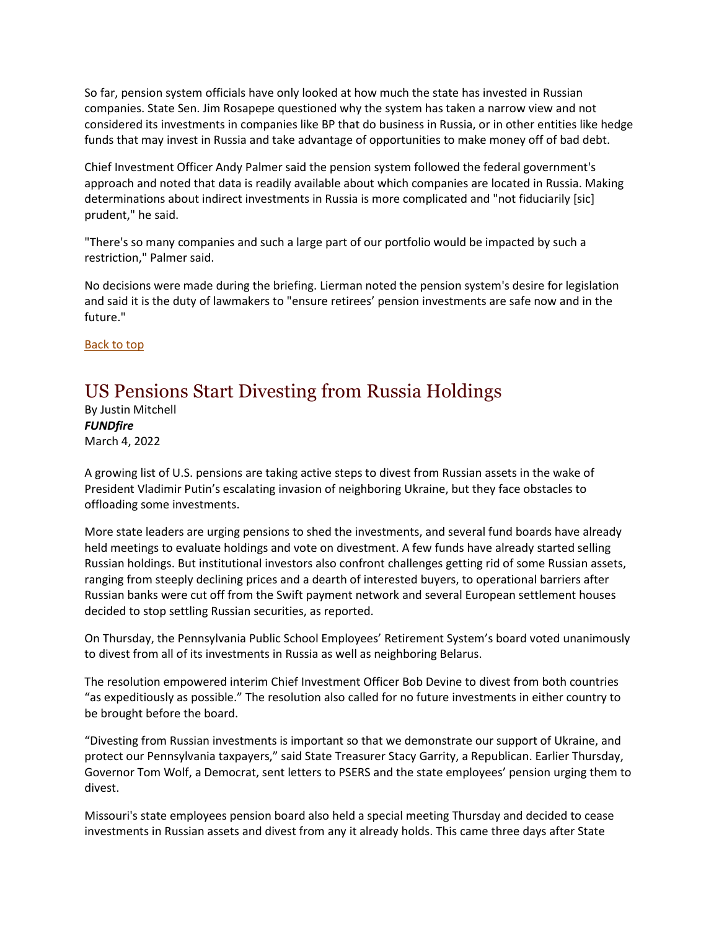So far, pension system officials have only looked at how much the state has invested in Russian companies. State Sen. Jim Rosapepe questioned why the system has taken a narrow view and not considered its investments in companies like BP that do business in Russia, or in other entities like hedge funds that may invest in Russia and take advantage of opportunities to make money off of bad debt.

Chief Investment Officer Andy Palmer said the pension system followed the federal government's approach and noted that data is readily available about which companies are located in Russia. Making determinations about indirect investments in Russia is more complicated and "not fiduciarily [sic] prudent," he said.

"There's so many companies and such a large part of our portfolio would be impacted by such a restriction," Palmer said.

No decisions were made during the briefing. Lierman noted the pension system's desire for legislation and said it is the duty of lawmakers to "ensure retirees' pension investments are safe now and in the future."

Back to top

#### US Pensions Start Divesting from Russia Holdings

By Justin Mitchell *FUNDfire* March 4, 2022

A growing list of U.S. pensions are taking active steps to divest from Russian assets in the wake of President Vladimir Putin's escalating invasion of neighboring Ukraine, but they face obstacles to offloading some investments.

More state leaders are urging pensions to shed the investments, and several fund boards have already held meetings to evaluate holdings and vote on divestment. A few funds have already started selling Russian holdings. But institutional investors also confront challenges getting rid of some Russian assets, ranging from steeply declining prices and a dearth of interested buyers, to operational barriers after Russian banks were cut off from the Swift payment network and several European settlement houses decided to stop settling Russian securities, as reported.

On Thursday, the Pennsylvania Public School Employees' Retirement System's board voted unanimously to divest from all of its investments in Russia as well as neighboring Belarus.

The resolution empowered interim Chief Investment Officer Bob Devine to divest from both countries "as expeditiously as possible." The resolution also called for no future investments in either country to be brought before the board.

"Divesting from Russian investments is important so that we demonstrate our support of Ukraine, and protect our Pennsylvania taxpayers," said State Treasurer Stacy Garrity, a Republican. Earlier Thursday, Governor Tom Wolf, a Democrat, sent letters to PSERS and the state employees' pension urging them to divest.

Missouri's state employees pension board also held a special meeting Thursday and decided to cease investments in Russian assets and divest from any it already holds. This came three days after State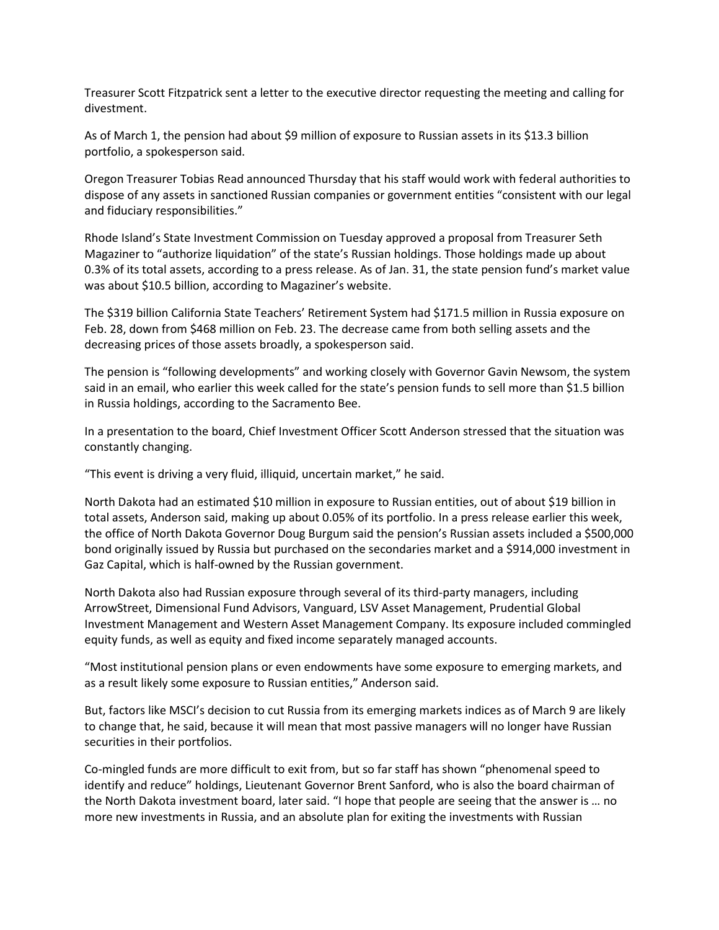Treasurer Scott Fitzpatrick sent a letter to the executive director requesting the meeting and calling for divestment.

As of March 1, the pension had about \$9 million of exposure to Russian assets in its \$13.3 billion portfolio, a spokesperson said.

Oregon Treasurer Tobias Read announced Thursday that his staff would work with federal authorities to dispose of any assets in sanctioned Russian companies or government entities "consistent with our legal and fiduciary responsibilities."

Rhode Island's State Investment Commission on Tuesday approved a proposal from Treasurer Seth Magaziner to "authorize liquidation" of the state's Russian holdings. Those holdings made up about 0.3% of its total assets, according to a press release. As of Jan. 31, the state pension fund's market value was about \$10.5 billion, according to Magaziner's website.

The \$319 billion California State Teachers' Retirement System had \$171.5 million in Russia exposure on Feb. 28, down from \$468 million on Feb. 23. The decrease came from both selling assets and the decreasing prices of those assets broadly, a spokesperson said.

The pension is "following developments" and working closely with Governor Gavin Newsom, the system said in an email, who earlier this week called for the state's pension funds to sell more than \$1.5 billion in Russia holdings, according to the Sacramento Bee.

In a presentation to the board, Chief Investment Officer Scott Anderson stressed that the situation was constantly changing.

"This event is driving a very fluid, illiquid, uncertain market," he said.

North Dakota had an estimated \$10 million in exposure to Russian entities, out of about \$19 billion in total assets, Anderson said, making up about 0.05% of its portfolio. In a press release earlier this week, the office of North Dakota Governor Doug Burgum said the pension's Russian assets included a \$500,000 bond originally issued by Russia but purchased on the secondaries market and a \$914,000 investment in Gaz Capital, which is half-owned by the Russian government.

North Dakota also had Russian exposure through several of its third-party managers, including ArrowStreet, Dimensional Fund Advisors, Vanguard, LSV Asset Management, Prudential Global Investment Management and Western Asset Management Company. Its exposure included commingled equity funds, as well as equity and fixed income separately managed accounts.

"Most institutional pension plans or even endowments have some exposure to emerging markets, and as a result likely some exposure to Russian entities," Anderson said.

But, factors like MSCI's decision to cut Russia from its emerging markets indices as of March 9 are likely to change that, he said, because it will mean that most passive managers will no longer have Russian securities in their portfolios.

Co-mingled funds are more difficult to exit from, but so far staff has shown "phenomenal speed to identify and reduce" holdings, Lieutenant Governor Brent Sanford, who is also the board chairman of the North Dakota investment board, later said. "I hope that people are seeing that the answer is … no more new investments in Russia, and an absolute plan for exiting the investments with Russian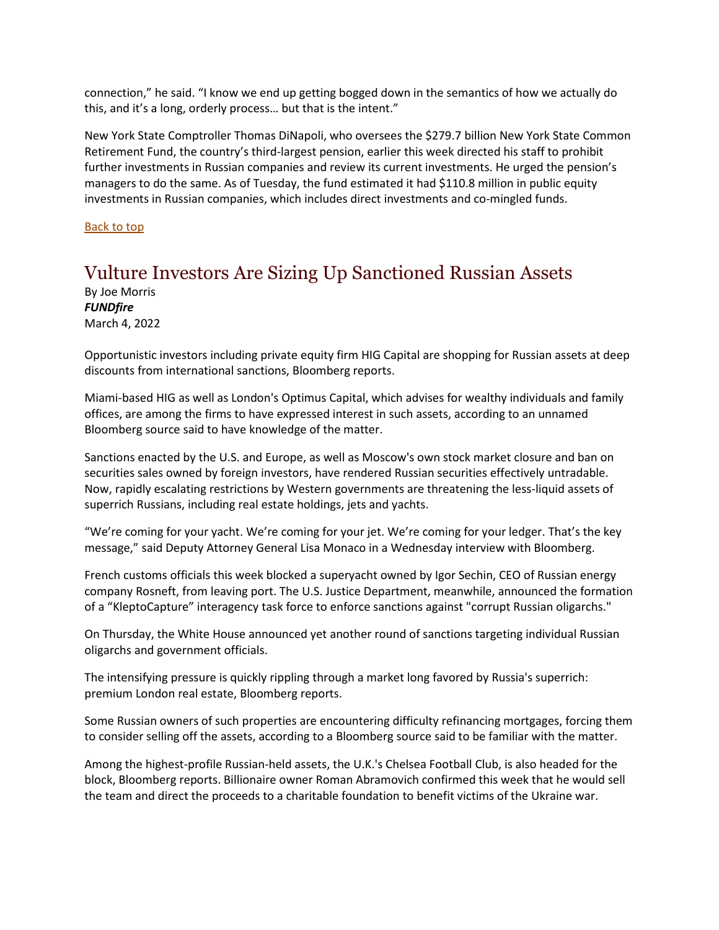connection," he said. "I know we end up getting bogged down in the semantics of how we actually do this, and it's a long, orderly process… but that is the intent."

New York State Comptroller Thomas DiNapoli, who oversees the \$279.7 billion New York State Common Retirement Fund, the country's third-largest pension, earlier this week directed his staff to prohibit further investments in Russian companies and review its current investments. He urged the pension's managers to do the same. As of Tuesday, the fund estimated it had \$110.8 million in public equity investments in Russian companies, which includes direct investments and co-mingled funds.

Back to top

#### <span id="page-5-0"></span>Vulture Investors Are Sizing Up Sanctioned Russian Assets

By Joe Morris *FUNDfire* March 4, 2022

Opportunistic investors including private equity firm HIG Capital are shopping for Russian assets at deep discounts from international sanctions, Bloomberg reports.

Miami-based HIG as well as London's Optimus Capital, which advises for wealthy individuals and family offices, are among the firms to have expressed interest in such assets, according to an unnamed Bloomberg source said to have knowledge of the matter.

Sanctions enacted by the U.S. and Europe, as well as Moscow's own stock market closure and ban on securities sales owned by foreign investors, have rendered Russian securities effectively untradable. Now, rapidly escalating restrictions by Western governments are threatening the less-liquid assets of superrich Russians, including real estate holdings, jets and yachts.

"We're coming for your yacht. We're coming for your jet. We're coming for your ledger. That's the key message," said Deputy Attorney General Lisa Monaco in a Wednesday interview with Bloomberg.

French customs officials this week blocked a superyacht owned by Igor Sechin, CEO of Russian energy company Rosneft, from leaving port. The U.S. Justice Department, meanwhile, announced the formation of a "KleptoCapture" interagency task force to enforce sanctions against "corrupt Russian oligarchs."

On Thursday, the White House announced yet another round of sanctions targeting individual Russian oligarchs and government officials.

The intensifying pressure is quickly rippling through a market long favored by Russia's superrich: premium London real estate, Bloomberg reports.

Some Russian owners of such properties are encountering difficulty refinancing mortgages, forcing them to consider selling off the assets, according to a Bloomberg source said to be familiar with the matter.

Among the highest-profile Russian-held assets, the U.K.'s Chelsea Football Club, is also headed for the block, Bloomberg reports. Billionaire owner Roman Abramovich confirmed this week that he would sell the team and direct the proceeds to a charitable foundation to benefit victims of the Ukraine war.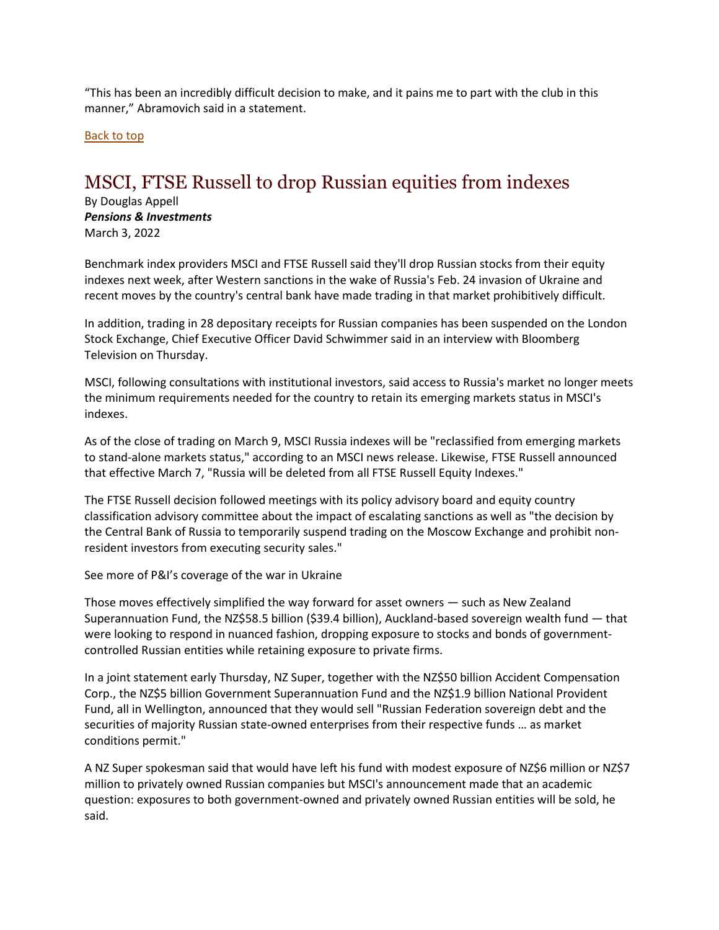"This has been an incredibly difficult decision to make, and it pains me to part with the club in this manner," Abramovich said in a statement.

Back to top

#### MSCI, FTSE Russell to drop Russian equities from indexes

By Douglas Appell *Pensions & Investments* March 3, 2022

Benchmark index providers MSCI and FTSE Russell said they'll drop Russian stocks from their equity indexes next week, after Western sanctions in the wake of Russia's Feb. 24 invasion of Ukraine and recent moves by the country's central bank have made trading in that market prohibitively difficult.

In addition, trading in 28 depositary receipts for Russian companies has been suspended on the London Stock Exchange, Chief Executive Officer David Schwimmer said in an interview with Bloomberg Television on Thursday.

MSCI, following consultations with institutional investors, said access to Russia's market no longer meets the minimum requirements needed for the country to retain its emerging markets status in MSCI's indexes.

As of the close of trading on March 9, MSCI Russia indexes will be "reclassified from emerging markets to stand-alone markets status," according to an MSCI news release. Likewise, FTSE Russell announced that effective March 7, "Russia will be deleted from all FTSE Russell Equity Indexes."

The FTSE Russell decision followed meetings with its policy advisory board and equity country classification advisory committee about the impact of escalating sanctions as well as "the decision by the Central Bank of Russia to temporarily suspend trading on the Moscow Exchange and prohibit nonresident investors from executing security sales."

See more of P&I's coverage of the war in Ukraine

Those moves effectively simplified the way forward for asset owners — such as New Zealand Superannuation Fund, the NZ\$58.5 billion (\$39.4 billion), Auckland-based sovereign wealth fund — that were looking to respond in nuanced fashion, dropping exposure to stocks and bonds of governmentcontrolled Russian entities while retaining exposure to private firms.

In a joint statement early Thursday, NZ Super, together with the NZ\$50 billion Accident Compensation Corp., the NZ\$5 billion Government Superannuation Fund and the NZ\$1.9 billion National Provident Fund, all in Wellington, announced that they would sell "Russian Federation sovereign debt and the securities of majority Russian state-owned enterprises from their respective funds … as market conditions permit."

A NZ Super spokesman said that would have left his fund with modest exposure of NZ\$6 million or NZ\$7 million to privately owned Russian companies but MSCI's announcement made that an academic question: exposures to both government-owned and privately owned Russian entities will be sold, he said.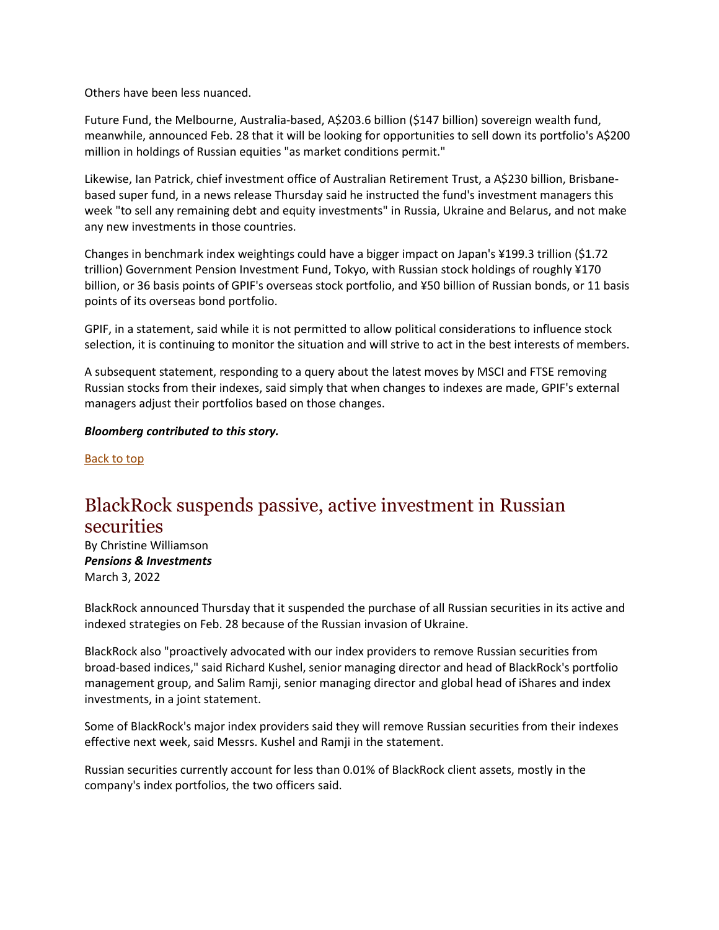Others have been less nuanced.

Future Fund, the Melbourne, Australia-based, A\$203.6 billion (\$147 billion) sovereign wealth fund, meanwhile, announced Feb. 28 that it will be looking for opportunities to sell down its portfolio's A\$200 million in holdings of Russian equities "as market conditions permit."

Likewise, Ian Patrick, chief investment office of Australian Retirement Trust, a A\$230 billion, Brisbanebased super fund, in a news release Thursday said he instructed the fund's investment managers this week "to sell any remaining debt and equity investments" in Russia, Ukraine and Belarus, and not make any new investments in those countries.

Changes in benchmark index weightings could have a bigger impact on Japan's ¥199.3 trillion (\$1.72 trillion) Government Pension Investment Fund, Tokyo, with Russian stock holdings of roughly ¥170 billion, or 36 basis points of GPIF's overseas stock portfolio, and ¥50 billion of Russian bonds, or 11 basis points of its overseas bond portfolio.

GPIF, in a statement, said while it is not permitted to allow political considerations to influence stock selection, it is continuing to monitor the situation and will strive to act in the best interests of members.

A subsequent statement, responding to a query about the latest moves by MSCI and FTSE removing Russian stocks from their indexes, said simply that when changes to indexes are made, GPIF's external managers adjust their portfolios based on those changes.

#### *Bloomberg contributed to this story.*

Back to top

#### <span id="page-7-0"></span>BlackRock suspends passive, active investment in Russian securities

By Christine Williamson *Pensions & Investments* March 3, 2022

BlackRock announced Thursday that it suspended the purchase of all Russian securities in its active and indexed strategies on Feb. 28 because of the Russian invasion of Ukraine.

BlackRock also "proactively advocated with our index providers to remove Russian securities from broad-based indices," said Richard Kushel, senior managing director and head of BlackRock's portfolio management group, and Salim Ramji, senior managing director and global head of iShares and index investments, in a joint statement.

Some of BlackRock's major index providers said they will remove Russian securities from their indexes effective next week, said Messrs. Kushel and Ramji in the statement.

Russian securities currently account for less than 0.01% of BlackRock client assets, mostly in the company's index portfolios, the two officers said.